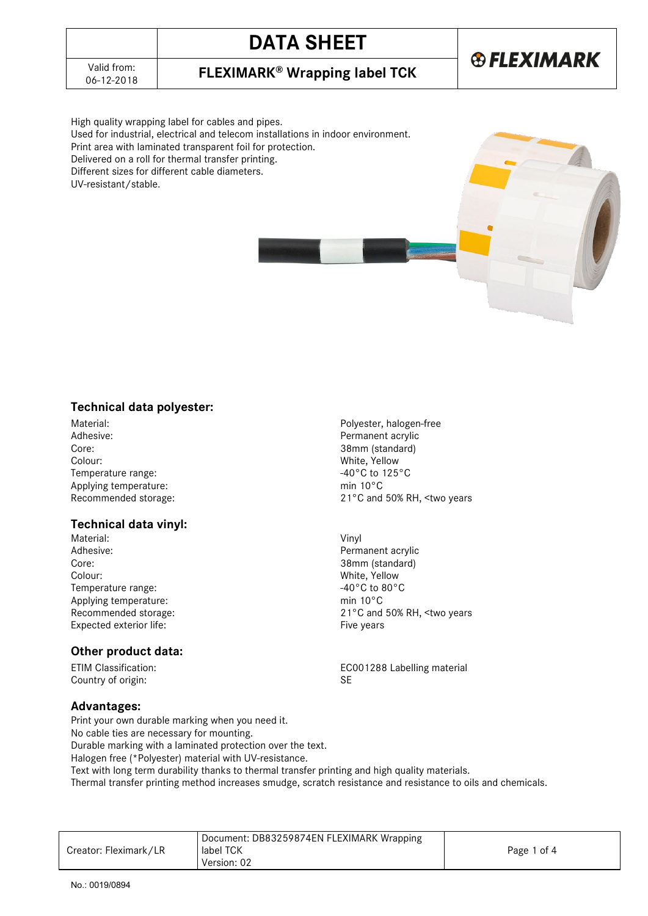## **DATA SHEET**



06-12-2018 **FLEXIMARK® Wrapping label TCK**

High quality wrapping label for cables and pipes. Used for industrial, electrical and telecom installations in indoor environment. Print area with laminated transparent foil for protection. Delivered on a roll for thermal transfer printing. Different sizes for different cable diameters. UV-resistant/stable.

### **Technical data polyester:**

Material: Polyester, halogen-free Core: 38mm (standard) Colour: White, Yellow Temperature range:  $-40^{\circ}$ C to 125<sup>°</sup>C<br>Applying temperature:  $\frac{10^{\circ}C}{C}$ Applying temperature:<br>Recommended storage:

### **Technical data vinyl:**

Material: Vinyl Adhesive: The Context of the Context of the Permanent acrylic Context of the Permanent acrylic Context of the Context of the Context of the Context of the Context of the Context of the Context of the Context of the Context Colour: White, Yellow<br>Temperature range: The Colour Colour Colour Colour Colour Colour Colour Colour Colour Colour Colour Colour Colo Temperature range: Applying temperature: min 10°C Expected exterior life: Expected exterior life:

#### **Other product data:**

Country of origin: SE

#### **Advantages:**

Print your own durable marking when you need it.

No cable ties are necessary for mounting.

Durable marking with a laminated protection over the text.

Halogen free (\*Polyester) material with UV-resistance.

Text with long term durability thanks to thermal transfer printing and high quality materials.

Thermal transfer printing method increases smudge, scratch resistance and resistance to oils and chemicals.

| Creator: Fleximark/LR | Document: DB83259874EN FLEXIMARK Wrapping<br>label TCK<br>Version: 02 | Page 1 of 4 |
|-----------------------|-----------------------------------------------------------------------|-------------|
|-----------------------|-----------------------------------------------------------------------|-------------|

Permanent acrylic 21°C and 50% RH, <two years

38mm (standard) Recommended storage:  $21^{\circ}$ C and 50% RH, <two years

ETIM Classification: EC001288 Labelling material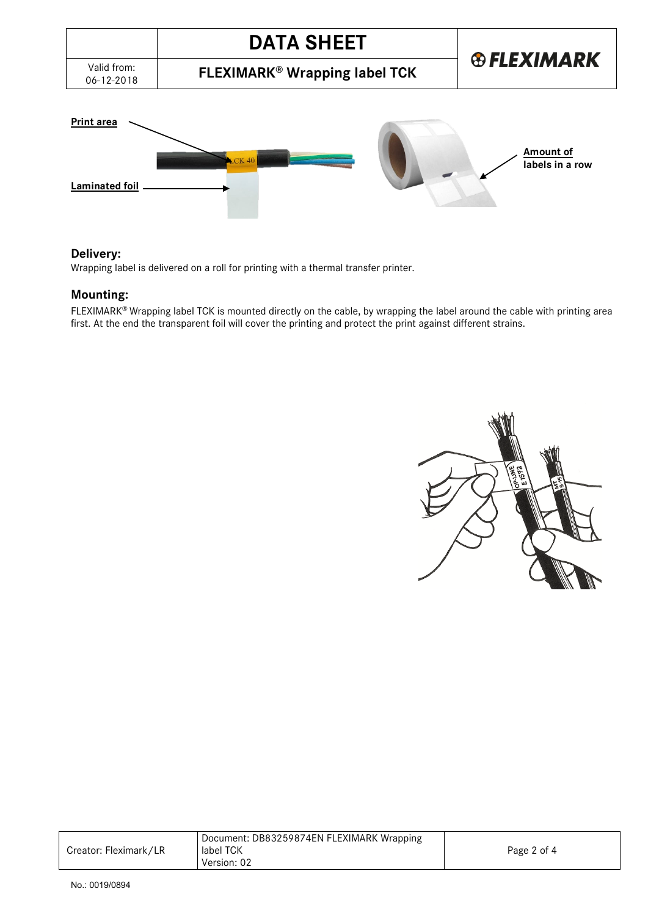



#### **Delivery:**

Wrapping label is delivered on a roll for printing with a thermal transfer printer.

#### **Mounting:**

FLEXIMARK® Wrapping label TCK is mounted directly on the cable, by wrapping the label around the cable with printing area first. At the end the transparent foil will cover the printing and protect the print against different strains.



| Creator: Fleximark/LR | Document: DB83259874EN FLEXIMARK Wrapping<br>label TCK<br>Version: 02 | Page 2 of 4 |
|-----------------------|-----------------------------------------------------------------------|-------------|
|-----------------------|-----------------------------------------------------------------------|-------------|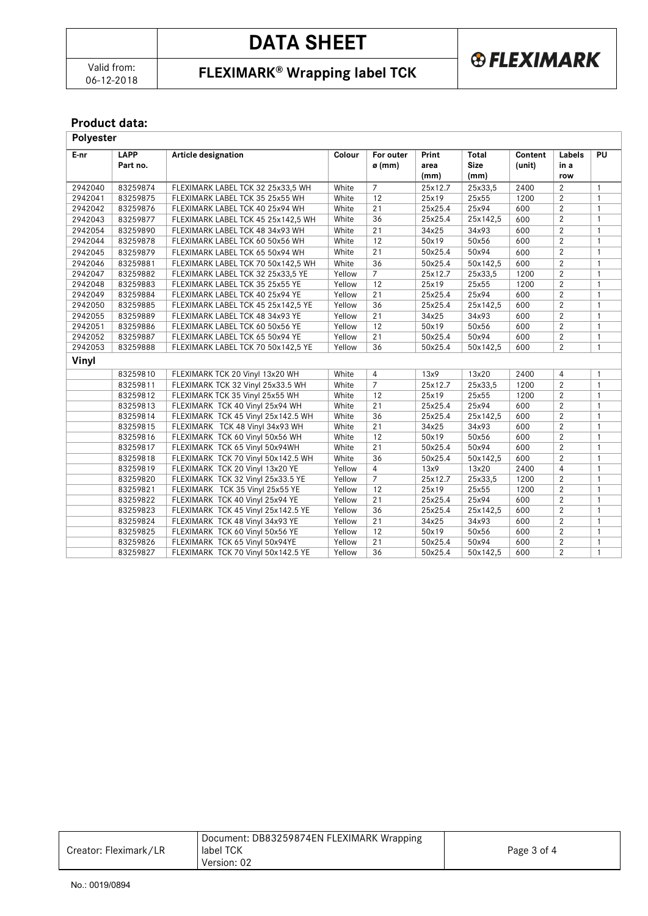# **DATA SHEET**

06-12-2018 **FLEXIMARK® Wrapping label TCK**

**®FLEXIMARK** 

### **Product data:**

| Polyester |                         |                                    |        |                            |                       |                              |                   |                       |              |
|-----------|-------------------------|------------------------------------|--------|----------------------------|-----------------------|------------------------------|-------------------|-----------------------|--------------|
| E-nr      | <b>LAPP</b><br>Part no. | <b>Article designation</b>         | Colour | For outer<br>$\sigma$ (mm) | Print<br>area<br>(mm) | Total<br><b>Size</b><br>(mm) | Content<br>(unit) | Labels<br>in a<br>row | <b>PU</b>    |
| 2942040   | 83259874                | FLEXIMARK LABEL TCK 32 25x33,5 WH  | White  | $\overline{7}$             | 25x12.7               | 25x33,5                      | 2400              | 2                     | $\mathbf{1}$ |
| 2942041   | 83259875                | FLEXIMARK LABEL TCK 35 25x55 WH    | White  | 12                         | 25x19                 | 25x55                        | 1200              | 2                     | $\mathbf{1}$ |
| 2942042   | 83259876                | FLEXIMARK LABEL TCK 40 25x94 WH    | White  | 21                         | 25x25.4               | 25x94                        | 600               | $\overline{2}$        | $\mathbf{1}$ |
| 2942043   | 83259877                | FLEXIMARK LABEL TCK 45 25x142,5 WH | White  | 36                         | 25x25.4               | 25x142,5                     | 600               | 2                     | $\mathbf{1}$ |
| 2942054   | 83259890                | FLEXIMARK LABEL TCK 48 34x93 WH    | White  | 21                         | 34x25                 | 34x93                        | 600               | 2                     | $\mathbf{1}$ |
| 2942044   | 83259878                | FLEXIMARK LABEL TCK 60 50x56 WH    | White  | 12                         | 50x19                 | 50x56                        | 600               | $\overline{2}$        | $\mathbf{1}$ |
| 2942045   | 83259879                | FLEXIMARK LABEL TCK 65 50x94 WH    | White  | 21                         | 50x25.4               | 50x94                        | 600               | $\overline{2}$        | $\mathbf{1}$ |
| 2942046   | 83259881                | FLEXIMARK LABEL TCK 70 50x142,5 WH | White  | 36                         | 50x25.4               | 50x142,5                     | 600               | $\overline{2}$        | $\mathbf{1}$ |
| 2942047   | 83259882                | FLEXIMARK LABEL TCK 32 25x33,5 YE  | Yellow | $\overline{7}$             | 25x12.7               | 25x33,5                      | 1200              | $\overline{2}$        | $\mathbf{1}$ |
| 2942048   | 83259883                | FLEXIMARK LABEL TCK 35 25x55 YE    | Yellow | 12                         | 25x19                 | 25x55                        | 1200              | $\overline{2}$        | $\mathbf{1}$ |
| 2942049   | 83259884                | FLEXIMARK LABEL TCK 40 25x94 YE    | Yellow | $\overline{21}$            | 25x25.4               | 25x94                        | 600               | $\overline{2}$        | $\mathbf{1}$ |
| 2942050   | 83259885                | FLEXIMARK LABEL TCK 45 25x142,5 YE | Yellow | 36                         | 25x25.4               | 25x142,5                     | 600               | $\overline{2}$        | $\mathbf{1}$ |
| 2942055   | 83259889                | FLEXIMARK LABEL TCK 48 34x93 YE    | Yellow | 21                         | 34x25                 | 34x93                        | 600               | $\overline{2}$        | $\mathbf{1}$ |
| 2942051   | 83259886                | FLEXIMARK LABEL TCK 60 50x56 YE    | Yellow | 12                         | 50x19                 | 50x56                        | 600               | $\overline{2}$        | $\mathbf{1}$ |
| 2942052   | 83259887                | FLEXIMARK LABEL TCK 65 50x94 YE    | Yellow | 21                         | 50x25.4               | 50x94                        | 600               | 2                     | $\mathbf{1}$ |
| 2942053   | 83259888                | FLEXIMARK LABEL TCK 70 50x142,5 YE | Yellow | 36                         | 50x25.4               | 50x142,5                     | 600               | 2                     | $\mathbf{1}$ |
| Vinyl     |                         |                                    |        |                            |                       |                              |                   |                       |              |
|           | 83259810                | FLEXIMARK TCK 20 Vinyl 13x20 WH    | White  | $\overline{4}$             | 13x9                  | 13x20                        | 2400              | $\overline{4}$        | $\mathbf{1}$ |
|           | 83259811                | FLEXIMARK TCK 32 Vinyl 25x33.5 WH  | White  | $\overline{7}$             | 25x12.7               | 25x33,5                      | 1200              | $\overline{2}$        | $\mathbf{1}$ |
|           | 83259812                | FLEXIMARK TCK 35 Vinyl 25x55 WH    | White  | 12                         | 25x19                 | 25x55                        | 1200              | $\overline{2}$        | $\mathbf{1}$ |
|           | 83259813                | FLEXIMARK TCK 40 Vinyl 25x94 WH    | White  | 21                         | 25x25.4               | 25x94                        | 600               | 2                     | $\mathbf{1}$ |
|           | 83259814                | FLEXIMARK TCK 45 Vinyl 25x142.5 WH | White  | 36                         | 25x25.4               | 25x142,5                     | 600               | 2                     | $\mathbf{1}$ |
|           | 83259815                | FLEXIMARK TCK 48 Vinyl 34x93 WH    | White  | 21                         | 34x25                 | 34x93                        | 600               | $\overline{2}$        | $\mathbf{1}$ |
|           | 83259816                | FLEXIMARK TCK 60 Vinyl 50x56 WH    | White  | 12                         | 50x19                 | 50x56                        | 600               | $\overline{2}$        | $\mathbf{1}$ |
|           | 83259817                | FLEXIMARK TCK 65 Vinyl 50x94WH     | White  | 21                         | 50x25.4               | 50x94                        | 600               | $\overline{2}$        | $\mathbf{1}$ |
|           | 83259818                | FLEXIMARK TCK 70 Vinyl 50x142.5 WH | White  | 36                         | 50x25.4               | 50x142,5                     | 600               | $\overline{2}$        | $\mathbf{1}$ |
|           | 83259819                | FLEXIMARK TCK 20 Vinyl 13x20 YE    | Yellow | $\overline{4}$             | 13x9                  | 13x20                        | 2400              | $\overline{4}$        | $\mathbf{1}$ |
|           | 83259820                | FLEXIMARK TCK 32 Vinyl 25x33.5 YE  | Yellow | $\overline{7}$             | 25x12.7               | 25x33,5                      | 1200              | 2                     | $\mathbf{1}$ |
|           | 83259821                | FLEXIMARK TCK 35 Vinyl 25x55 YE    | Yellow | 12                         | 25x19                 | 25x55                        | 1200              | 2                     | $\mathbf{1}$ |
|           | 83259822                | FLEXIMARK TCK 40 Vinyl 25x94 YE    | Yellow | 21                         | 25x25.4               | 25x94                        | 600               | $\overline{2}$        | $\mathbf{1}$ |
|           | 83259823                | FLEXIMARK TCK 45 Vinyl 25x142.5 YE | Yellow | 36                         | 25x25.4               | 25x142,5                     | 600               | $\overline{2}$        | $\mathbf{1}$ |
|           | 83259824                | FLEXIMARK TCK 48 Vinyl 34x93 YE    | Yellow | 21                         | 34x25                 | 34x93                        | 600               | $\overline{2}$        | $\mathbf{1}$ |
|           | 83259825                | FLEXIMARK TCK 60 Vinyl 50x56 YE    | Yellow | 12                         | 50x19                 | 50x56                        | 600               | $\overline{2}$        | $\mathbf{1}$ |
|           | 83259826                | FLEXIMARK TCK 65 Vinyl 50x94YE     | Yellow | 21                         | 50x25.4               | 50x94                        | 600               | 2                     | $\mathbf{1}$ |
|           | 83259827                | FLEXIMARK TCK 70 Vinyl 50x142.5 YE | Yellow | 36                         | 50x25.4               | 50x142,5                     | 600               | $\overline{2}$        | $\mathbf{1}$ |

| Creator: Fleximark/LR | Document: DB83259874EN FLEXIMARK Wrapping<br>label TCK<br>Version: 02 | Page 3 of 4 |
|-----------------------|-----------------------------------------------------------------------|-------------|
|                       |                                                                       |             |